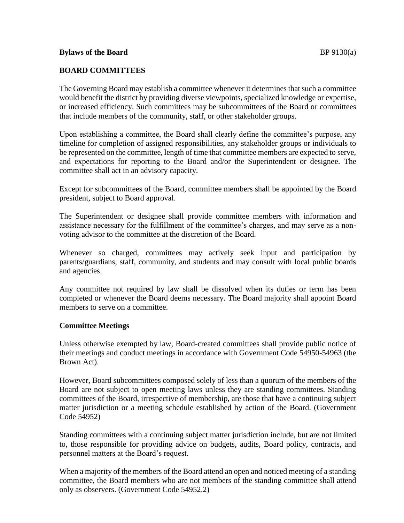# **BOARD COMMITTEES**

The Governing Board may establish a committee whenever it determines that such a committee would benefit the district by providing diverse viewpoints, specialized knowledge or expertise, or increased efficiency. Such committees may be subcommittees of the Board or committees that include members of the community, staff, or other stakeholder groups.

Upon establishing a committee, the Board shall clearly define the committee's purpose, any timeline for completion of assigned responsibilities, any stakeholder groups or individuals to be represented on the committee, length of time that committee members are expected to serve, and expectations for reporting to the Board and/or the Superintendent or designee. The committee shall act in an advisory capacity.

Except for subcommittees of the Board, committee members shall be appointed by the Board president, subject to Board approval.

The Superintendent or designee shall provide committee members with information and assistance necessary for the fulfillment of the committee's charges, and may serve as a nonvoting advisor to the committee at the discretion of the Board.

Whenever so charged, committees may actively seek input and participation by parents/guardians, staff, community, and students and may consult with local public boards and agencies.

Any committee not required by law shall be dissolved when its duties or term has been completed or whenever the Board deems necessary. The Board majority shall appoint Board members to serve on a committee.

## **Committee Meetings**

Unless otherwise exempted by law, Board-created committees shall provide public notice of their meetings and conduct meetings in accordance with Government Code 54950-54963 (the Brown Act).

However, Board subcommittees composed solely of less than a quorum of the members of the Board are not subject to open meeting laws unless they are standing committees. Standing committees of the Board, irrespective of membership, are those that have a continuing subject matter jurisdiction or a meeting schedule established by action of the Board. (Government Code 54952)

Standing committees with a continuing subject matter jurisdiction include, but are not limited to, those responsible for providing advice on budgets, audits, Board policy, contracts, and personnel matters at the Board's request.

When a majority of the members of the Board attend an open and noticed meeting of a standing committee, the Board members who are not members of the standing committee shall attend only as observers. (Government Code 54952.2)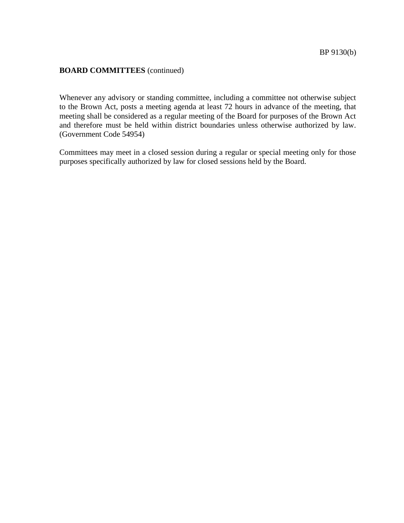## **BOARD COMMITTEES** (continued)

Whenever any advisory or standing committee, including a committee not otherwise subject to the Brown Act, posts a meeting agenda at least 72 hours in advance of the meeting, that meeting shall be considered as a regular meeting of the Board for purposes of the Brown Act and therefore must be held within district boundaries unless otherwise authorized by law. (Government Code 54954)

Committees may meet in a closed session during a regular or special meeting only for those purposes specifically authorized by law for closed sessions held by the Board.